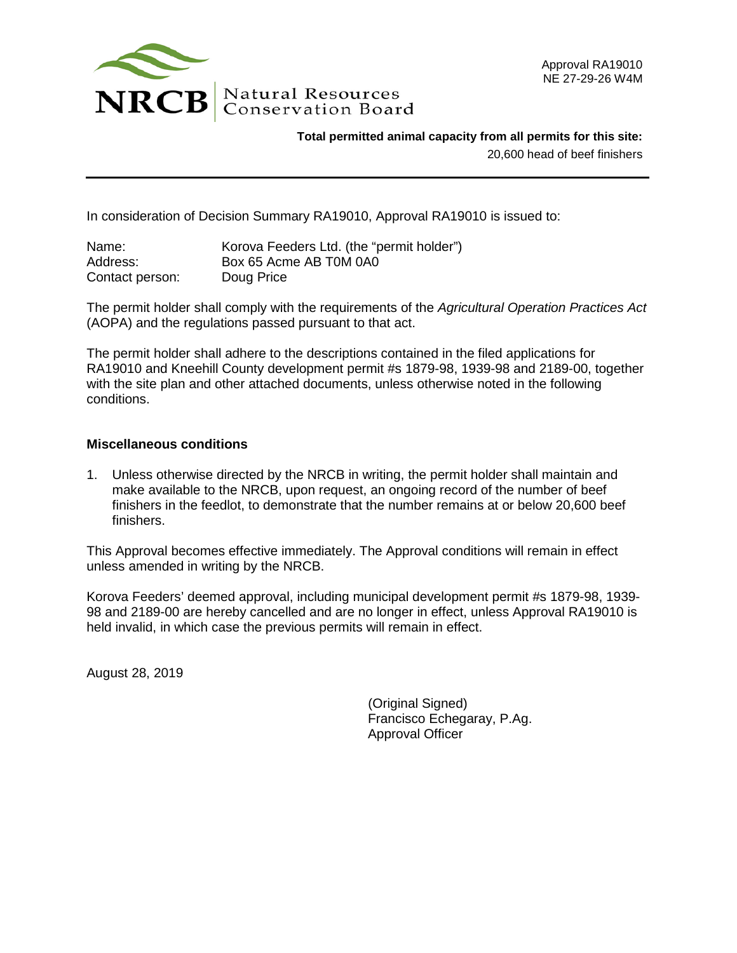

**Total permitted animal capacity from all permits for this site:**

20,600 head of beef finishers

In consideration of Decision Summary RA19010, Approval RA19010 is issued to:

| Name:           | Korova Feeders Ltd. (the "permit holder") |
|-----------------|-------------------------------------------|
| Address:        | Box 65 Acme AB T0M 0A0                    |
| Contact person: | Doug Price                                |

The permit holder shall comply with the requirements of the *Agricultural Operation Practices Act* (AOPA) and the regulations passed pursuant to that act.

The permit holder shall adhere to the descriptions contained in the filed applications for RA19010 and Kneehill County development permit #s 1879-98, 1939-98 and 2189-00, together with the site plan and other attached documents, unless otherwise noted in the following conditions.

## **Miscellaneous conditions**

1. Unless otherwise directed by the NRCB in writing, the permit holder shall maintain and make available to the NRCB, upon request, an ongoing record of the number of beef finishers in the feedlot, to demonstrate that the number remains at or below 20,600 beef finishers.

This Approval becomes effective immediately. The Approval conditions will remain in effect unless amended in writing by the NRCB.

Korova Feeders' deemed approval, including municipal development permit #s 1879-98, 1939- 98 and 2189-00 are hereby cancelled and are no longer in effect, unless Approval RA19010 is held invalid, in which case the previous permits will remain in effect.

August 28, 2019

(Original Signed) Francisco Echegaray, P.Ag. Approval Officer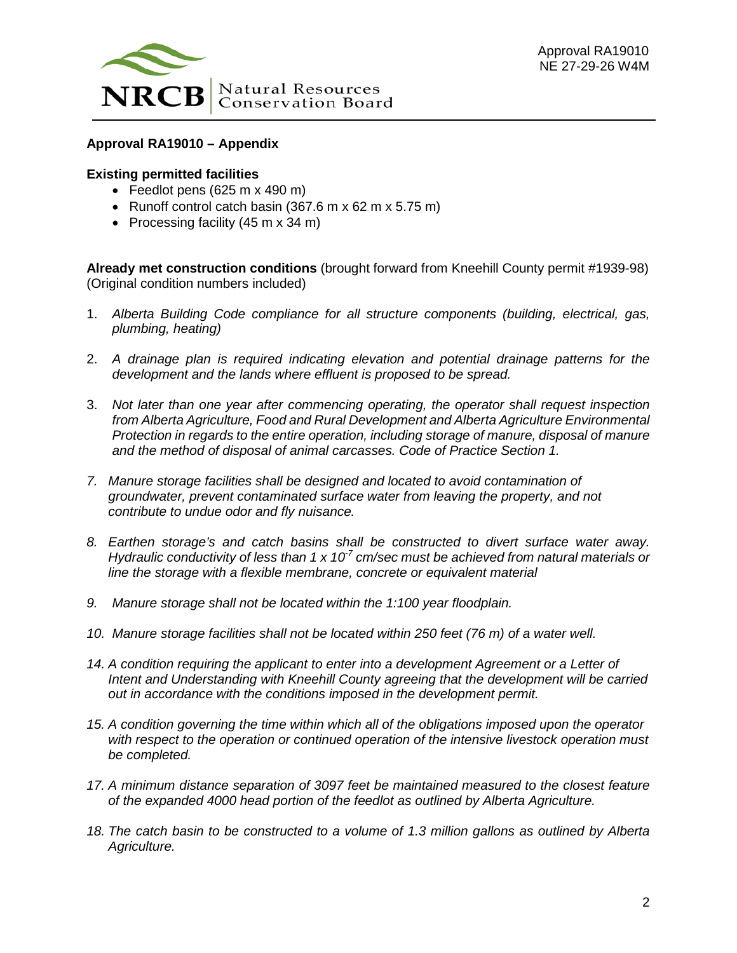

## **Approval RA19010 – Appendix**

## **Existing permitted facilities**

- Feedlot pens (625 m x 490 m)
- Runoff control catch basin (367.6 m x 62 m x 5.75 m)
- Processing facility (45 m x 34 m)

**Already met construction conditions** (brought forward from Kneehill County permit #1939-98) (Original condition numbers included)

- 1. *Alberta Building Code compliance for all structure components (building, electrical, gas, plumbing, heating)*
- 2. *A drainage plan is required indicating elevation and potential drainage patterns for the development and the lands where effluent is proposed to be spread.*
- 3. *Not later than one year after commencing operating, the operator shall request inspection from Alberta Agriculture, Food and Rural Development and Alberta Agriculture Environmental Protection in regards to the entire operation, including storage of manure, disposal of manure and the method of disposal of animal carcasses. Code of Practice Section 1.*
- *7. Manure storage facilities shall be designed and located to avoid contamination of groundwater, prevent contaminated surface water from leaving the property, and not contribute to undue odor and fly nuisance.*
- *8. Earthen storage's and catch basins shall be constructed to divert surface water away. Hydraulic conductivity of less than 1 x 10-7 cm/sec must be achieved from natural materials or line the storage with a flexible membrane, concrete or equivalent material*
- *9. Manure storage shall not be located within the 1:100 year floodplain.*
- *10. Manure storage facilities shall not be located within 250 feet (76 m) of a water well.*
- *14. A condition requiring the applicant to enter into a development Agreement or a Letter of Intent and Understanding with Kneehill County agreeing that the development will be carried out in accordance with the conditions imposed in the development permit.*
- *15. A condition governing the time within which all of the obligations imposed upon the operator with respect to the operation or continued operation of the intensive livestock operation must be completed.*
- *17. A minimum distance separation of 3097 feet be maintained measured to the closest feature of the expanded 4000 head portion of the feedlot as outlined by Alberta Agriculture.*
- *18. The catch basin to be constructed to a volume of 1.3 million gallons as outlined by Alberta Agriculture.*